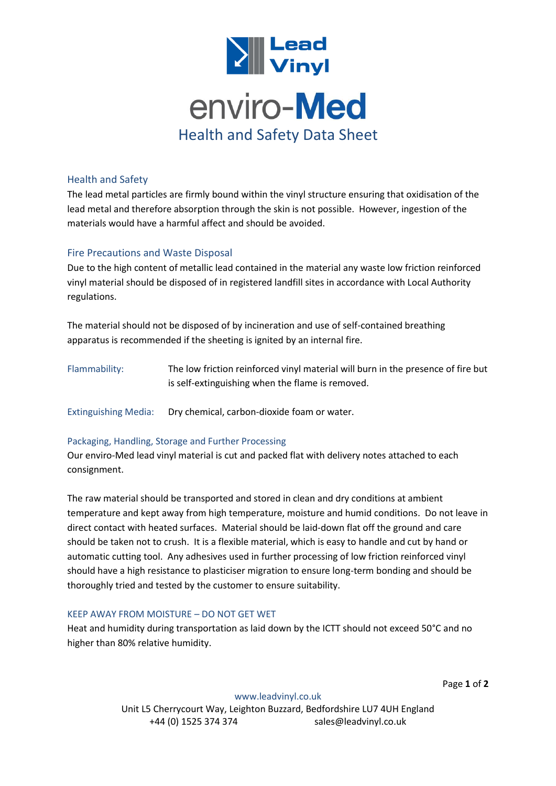

# Health and Safety

The lead metal particles are firmly bound within the vinyl structure ensuring that oxidisation of the lead metal and therefore absorption through the skin is not possible. However, ingestion of the materials would have a harmful affect and should be avoided.

# Fire Precautions and Waste Disposal

Due to the high content of metallic lead contained in the material any waste low friction reinforced vinyl material should be disposed of in registered landfill sites in accordance with Local Authority regulations.

The material should not be disposed of by incineration and use of self-contained breathing apparatus is recommended if the sheeting is ignited by an internal fire.

Flammability: The low friction reinforced vinyl material will burn in the presence of fire but is self-extinguishing when the flame is removed.

Extinguishing Media: Dry chemical, carbon-dioxide foam or water.

### Packaging, Handling, Storage and Further Processing

Our enviro-Med lead vinyl material is cut and packed flat with delivery notes attached to each consignment.

The raw material should be transported and stored in clean and dry conditions at ambient temperature and kept away from high temperature, moisture and humid conditions. Do not leave in direct contact with heated surfaces. Material should be laid-down flat off the ground and care should be taken not to crush. It is a flexible material, which is easy to handle and cut by hand or automatic cutting tool. Any adhesives used in further processing of low friction reinforced vinyl should have a high resistance to plasticiser migration to ensure long-term bonding and should be thoroughly tried and tested by the customer to ensure suitability.

### KEEP AWAY FROM MOISTURE – DO NOT GET WET

Heat and humidity during transportation as laid down by the ICTT should not exceed 50°C and no higher than 80% relative humidity.

Page **1** of **2**

[www.leadvinyl.co.uk](http://www.leadvinyl.co.uk/) Unit L5 Cherrycourt Way, Leighton Buzzard, Bedfordshire LU7 4UH England +44 (0) 1525 374 374 sales@leadvinyl.co.uk